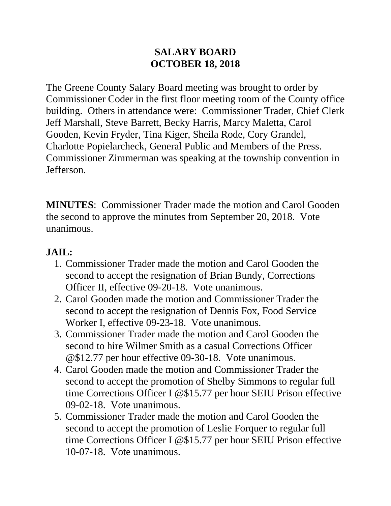#### **SALARY BOARD OCTOBER 18, 2018**

The Greene County Salary Board meeting was brought to order by Commissioner Coder in the first floor meeting room of the County office building. Others in attendance were: Commissioner Trader, Chief Clerk Jeff Marshall, Steve Barrett, Becky Harris, Marcy Maletta, Carol Gooden, Kevin Fryder, Tina Kiger, Sheila Rode, Cory Grandel, Charlotte Popielarcheck, General Public and Members of the Press. Commissioner Zimmerman was speaking at the township convention in Jefferson.

**MINUTES**: Commissioner Trader made the motion and Carol Gooden the second to approve the minutes from September 20, 2018. Vote unanimous.

## **JAIL:**

- 1. Commissioner Trader made the motion and Carol Gooden the second to accept the resignation of Brian Bundy, Corrections Officer II, effective 09-20-18. Vote unanimous.
- 2. Carol Gooden made the motion and Commissioner Trader the second to accept the resignation of Dennis Fox, Food Service Worker I, effective 09-23-18. Vote unanimous.
- 3. Commissioner Trader made the motion and Carol Gooden the second to hire Wilmer Smith as a casual Corrections Officer @\$12.77 per hour effective 09-30-18. Vote unanimous.
- 4. Carol Gooden made the motion and Commissioner Trader the second to accept the promotion of Shelby Simmons to regular full time Corrections Officer I @\$15.77 per hour SEIU Prison effective 09-02-18. Vote unanimous.
- 5. Commissioner Trader made the motion and Carol Gooden the second to accept the promotion of Leslie Forquer to regular full time Corrections Officer I @\$15.77 per hour SEIU Prison effective 10-07-18. Vote unanimous.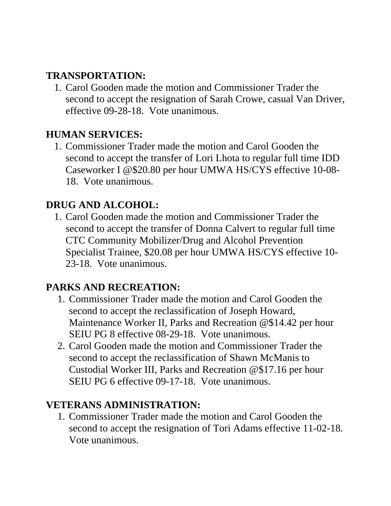## **TRANSPORTATION:**

1. Carol Gooden made the motion and Commissioner Trader the second to accept the resignation of Sarah Crowe, casual Van Driver, effective 09-28-18. Vote unanimous.

## **HUMAN SERVICES:**

1. Commissioner Trader made the motion and Carol Gooden the second to accept the transfer of Lori Lhota to regular full time IDD Caseworker I @\$20.80 per hour UMWA HS/CYS effective 10-08- 18. Vote unanimous.

## **DRUG AND ALCOHOL:**

1. Carol Gooden made the motion and Commissioner Trader the second to accept the transfer of Donna Calvert to regular full time CTC Community Mobilizer/Drug and Alcohol Prevention Specialist Trainee, \$20.08 per hour UMWA HS/CYS effective 10- 23-18. Vote unanimous.

## **PARKS AND RECREATION:**

- 1. Commissioner Trader made the motion and Carol Gooden the second to accept the reclassification of Joseph Howard, Maintenance Worker II, Parks and Recreation @\$14.42 per hour SEIU PG 8 effective 08-29-18. Vote unanimous.
- 2. Carol Gooden made the motion and Commissioner Trader the second to accept the reclassification of Shawn McManis to Custodial Worker III, Parks and Recreation @\$17.16 per hour SEIU PG 6 effective 09-17-18. Vote unanimous.

#### **VETERANS ADMINISTRATION:**

1. Commissioner Trader made the motion and Carol Gooden the second to accept the resignation of Tori Adams effective 11-02-18. Vote unanimous.